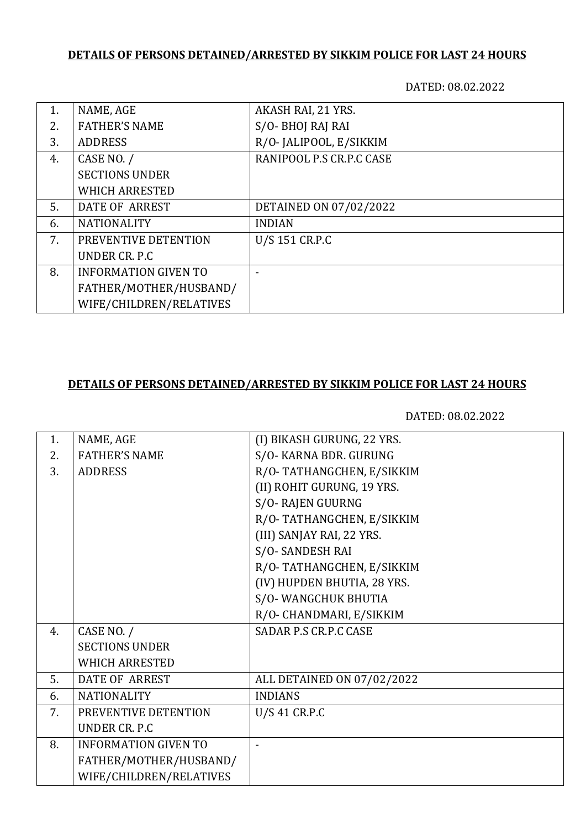## **DETAILS OF PERSONS DETAINED/ARRESTED BY SIKKIM POLICE FOR LAST 24 HOURS**

DATED: 08.02.2022

| 1. | NAME, AGE                   | AKASH RAI, 21 YRS.       |
|----|-----------------------------|--------------------------|
| 2. | <b>FATHER'S NAME</b>        | S/O-BHOJ RAJ RAI         |
| 3. | <b>ADDRESS</b>              | R/O-JALIPOOL, E/SIKKIM   |
| 4. | CASE NO. /                  | RANIPOOL P.S CR.P.C CASE |
|    | <b>SECTIONS UNDER</b>       |                          |
|    | <b>WHICH ARRESTED</b>       |                          |
| 5. | DATE OF ARREST              | DETAINED ON 07/02/2022   |
| 6. | <b>NATIONALITY</b>          | <b>INDIAN</b>            |
| 7. | PREVENTIVE DETENTION        | U/S 151 CR.P.C           |
|    | UNDER CR. P.C.              |                          |
| 8. | <b>INFORMATION GIVEN TO</b> |                          |
|    | FATHER/MOTHER/HUSBAND/      |                          |
|    | WIFE/CHILDREN/RELATIVES     |                          |

# **DETAILS OF PERSONS DETAINED/ARRESTED BY SIKKIM POLICE FOR LAST 24 HOURS**

DATED: 08.02.2022

| 1. | NAME, AGE                   | (I) BIKASH GURUNG, 22 YRS.   |
|----|-----------------------------|------------------------------|
| 2. | <b>FATHER'S NAME</b>        | S/O- KARNA BDR. GURUNG       |
| 3. | <b>ADDRESS</b>              | R/O-TATHANGCHEN, E/SIKKIM    |
|    |                             | (II) ROHIT GURUNG, 19 YRS.   |
|    |                             | S/O-RAJEN GUURNG             |
|    |                             | R/O-TATHANGCHEN, E/SIKKIM    |
|    |                             | (III) SANJAY RAI, 22 YRS.    |
|    |                             | S/O-SANDESH RAI              |
|    |                             | R/O-TATHANGCHEN, E/SIKKIM    |
|    |                             | (IV) HUPDEN BHUTIA, 28 YRS.  |
|    |                             | S/O-WANGCHUK BHUTIA          |
|    |                             | R/O- CHANDMARI, E/SIKKIM     |
| 4. | CASE NO. /                  | <b>SADAR P.S CR.P.C CASE</b> |
|    | <b>SECTIONS UNDER</b>       |                              |
|    | <b>WHICH ARRESTED</b>       |                              |
| 5. | <b>DATE OF ARREST</b>       | ALL DETAINED ON 07/02/2022   |
| 6. | <b>NATIONALITY</b>          | <b>INDIANS</b>               |
| 7. | PREVENTIVE DETENTION        | U/S 41 CR.P.C                |
|    | UNDER CR. P.C               |                              |
| 8. | <b>INFORMATION GIVEN TO</b> |                              |
|    | FATHER/MOTHER/HUSBAND/      |                              |
|    | WIFE/CHILDREN/RELATIVES     |                              |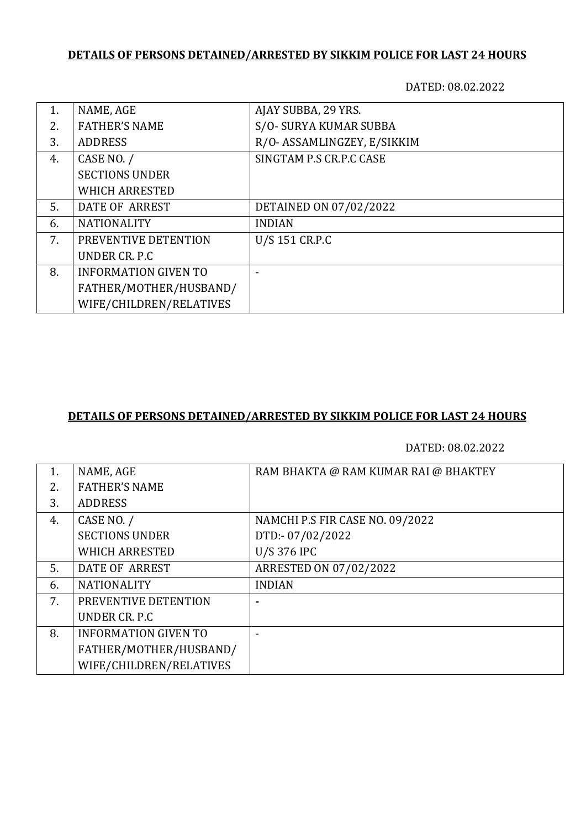## **DETAILS OF PERSONS DETAINED/ARRESTED BY SIKKIM POLICE FOR LAST 24 HOURS**

DATED: 08.02.2022

| 1. | NAME, AGE                   | AJAY SUBBA, 29 YRS.         |
|----|-----------------------------|-----------------------------|
| 2. | <b>FATHER'S NAME</b>        | S/O- SURYA KUMAR SUBBA      |
| 3. | <b>ADDRESS</b>              | R/O- ASSAMLINGZEY, E/SIKKIM |
| 4. | CASE NO. /                  | SINGTAM P.S CR.P.C CASE     |
|    | <b>SECTIONS UNDER</b>       |                             |
|    | <b>WHICH ARRESTED</b>       |                             |
| 5. | DATE OF ARREST              | DETAINED ON 07/02/2022      |
| 6. | <b>NATIONALITY</b>          | <b>INDIAN</b>               |
| 7. | PREVENTIVE DETENTION        | U/S 151 CR.P.C              |
|    | UNDER CR. P.C.              |                             |
| 8. | <b>INFORMATION GIVEN TO</b> |                             |
|    | FATHER/MOTHER/HUSBAND/      |                             |
|    | WIFE/CHILDREN/RELATIVES     |                             |

#### **DETAILS OF PERSONS DETAINED/ARRESTED BY SIKKIM POLICE FOR LAST 24 HOURS**

DATED: 08.02.2022

| 1. | NAME, AGE                   | RAM BHAKTA @ RAM KUMAR RAI @ BHAKTEY |
|----|-----------------------------|--------------------------------------|
| 2. | <b>FATHER'S NAME</b>        |                                      |
| 3. | <b>ADDRESS</b>              |                                      |
| 4. | CASE NO. /                  | NAMCHI P.S FIR CASE NO. 09/2022      |
|    | <b>SECTIONS UNDER</b>       | DTD:-07/02/2022                      |
|    | <b>WHICH ARRESTED</b>       | U/S 376 IPC                          |
| 5. | DATE OF ARREST              | ARRESTED ON 07/02/2022               |
| 6. | <b>NATIONALITY</b>          | <b>INDIAN</b>                        |
| 7. | PREVENTIVE DETENTION        |                                      |
|    | UNDER CR. P.C.              |                                      |
| 8. | <b>INFORMATION GIVEN TO</b> |                                      |
|    | FATHER/MOTHER/HUSBAND/      |                                      |
|    | WIFE/CHILDREN/RELATIVES     |                                      |